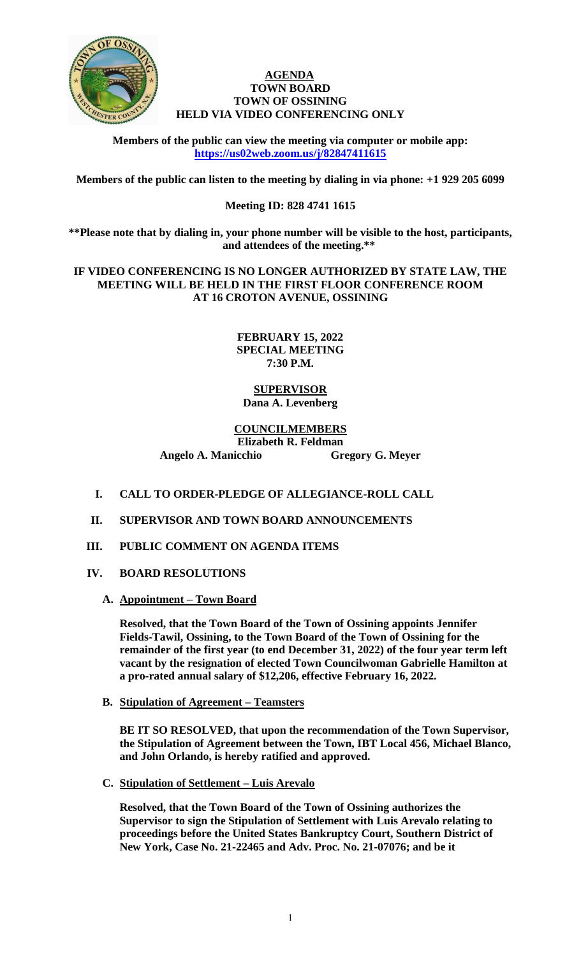

### **AGENDA TOWN BOARD TOWN OF OSSINING HELD VIA VIDEO CONFERENCING ONLY**

**Members of the public can view the meeting via computer or mobile app: <https://us02web.zoom.us/j/82847411615>**

**Members of the public can listen to the meeting by dialing in via phone: +1 929 205 6099** 

# **Meeting ID: 828 4741 1615**

**\*\*Please note that by dialing in, your phone number will be visible to the host, participants, and attendees of the meeting.\*\*** 

**IF VIDEO CONFERENCING IS NO LONGER AUTHORIZED BY STATE LAW, THE MEETING WILL BE HELD IN THE FIRST FLOOR CONFERENCE ROOM AT 16 CROTON AVENUE, OSSINING**

### **FEBRUARY 15, 2022 SPECIAL MEETING 7:30 P.M.**

## **SUPERVISOR Dana A. Levenberg**

### **COUNCILMEMBERS Elizabeth R. Feldman Angelo A. Manicchio Gregory G. Meyer**

- **I. CALL TO ORDER-PLEDGE OF ALLEGIANCE-ROLL CALL**
- **II. SUPERVISOR AND TOWN BOARD ANNOUNCEMENTS**
- **III. PUBLIC COMMENT ON AGENDA ITEMS**
- **IV. BOARD RESOLUTIONS**
	- **A. Appointment – Town Board**

**Resolved, that the Town Board of the Town of Ossining appoints Jennifer Fields-Tawil, Ossining, to the Town Board of the Town of Ossining for the remainder of the first year (to end December 31, 2022) of the four year term left vacant by the resignation of elected Town Councilwoman Gabrielle Hamilton at a pro-rated annual salary of \$12,206, effective February 16, 2022.** 

**B. Stipulation of Agreement – Teamsters** 

**BE IT SO RESOLVED, that upon the recommendation of the Town Supervisor, the Stipulation of Agreement between the Town, IBT Local 456, Michael Blanco, and John Orlando, is hereby ratified and approved.** 

**C. Stipulation of Settlement – Luis Arevalo**

**Resolved, that the Town Board of the Town of Ossining authorizes the Supervisor to sign the Stipulation of Settlement with Luis Arevalo relating to proceedings before the United States Bankruptcy Court, Southern District of New York, Case No. 21-22465 and Adv. Proc. No. 21-07076; and be it**